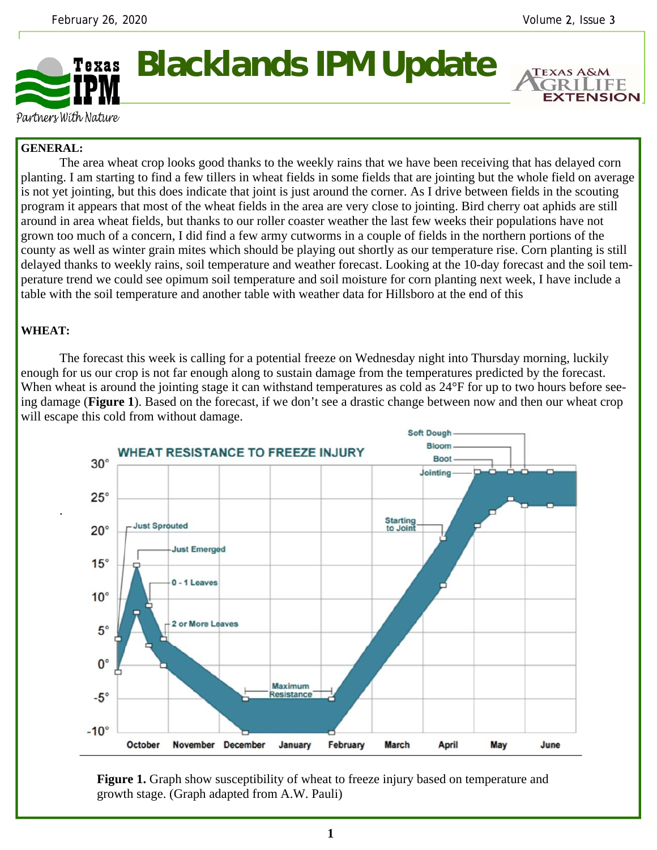**TEXAS A&M** 

**EXTENSION** 



Partners With Nature

## **GENERAL:**

 The area wheat crop looks good thanks to the weekly rains that we have been receiving that has delayed corn planting. I am starting to find a few tillers in wheat fields in some fields that are jointing but the whole field on average is not yet jointing, but this does indicate that joint is just around the corner. As I drive between fields in the scouting program it appears that most of the wheat fields in the area are very close to jointing. Bird cherry oat aphids are still around in area wheat fields, but thanks to our roller coaster weather the last few weeks their populations have not grown too much of a concern, I did find a few army cutworms in a couple of fields in the northern portions of the county as well as winter grain mites which should be playing out shortly as our temperature rise. Corn planting is still delayed thanks to weekly rains, soil temperature and weather forecast. Looking at the 10-day forecast and the soil temperature trend we could see opimum soil temperature and soil moisture for corn planting next week, I have include a table with the soil temperature and another table with weather data for Hillsboro at the end of this

## **WHEAT:**

.

 The forecast this week is calling for a potential freeze on Wednesday night into Thursday morning, luckily enough for us our crop is not far enough along to sustain damage from the temperatures predicted by the forecast. When wheat is around the jointing stage it can withstand temperatures as cold as  $24^{\circ}F$  for up to two hours before seeing damage (**Figure 1**). Based on the forecast, if we don't see a drastic change between now and then our wheat crop will escape this cold from without damage.



**Figure 1.** Graph show susceptibility of wheat to freeze injury based on temperature and growth stage. (Graph adapted from A.W. Pauli)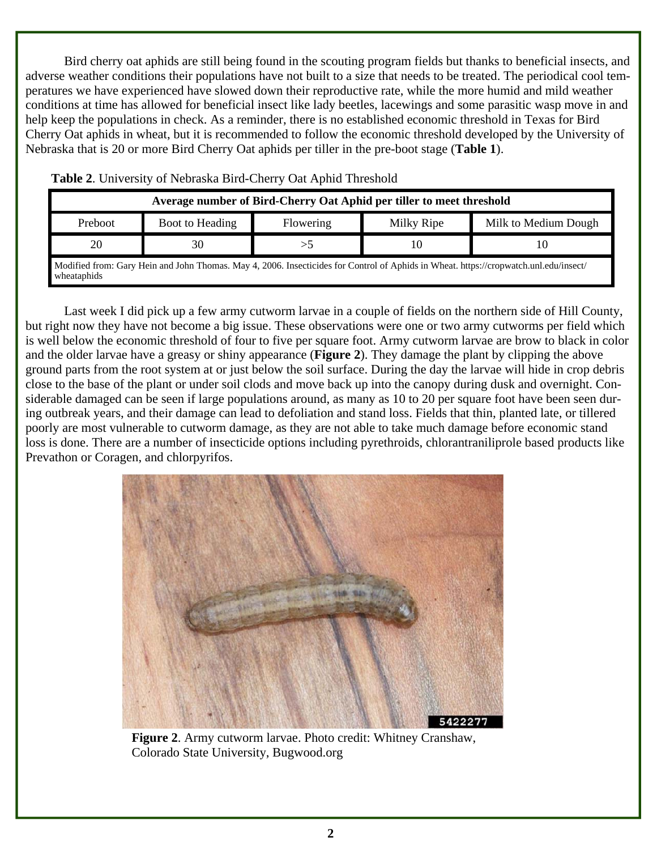Bird cherry oat aphids are still being found in the scouting program fields but thanks to beneficial insects, and adverse weather conditions their populations have not built to a size that needs to be treated. The periodical cool temperatures we have experienced have slowed down their reproductive rate, while the more humid and mild weather conditions at time has allowed for beneficial insect like lady beetles, lacewings and some parasitic wasp move in and help keep the populations in check. As a reminder, there is no established economic threshold in Texas for Bird Cherry Oat aphids in wheat, but it is recommended to follow the economic threshold developed by the University of Nebraska that is 20 or more Bird Cherry Oat aphids per tiller in the pre-boot stage (**Table 1**).

|         |                 | Average number of Bird-Cherry Oat Aphid per tiller to meet threshold |            |                                                                                                                                       |
|---------|-----------------|----------------------------------------------------------------------|------------|---------------------------------------------------------------------------------------------------------------------------------------|
| Preboot | Boot to Heading | Flowering                                                            | Milky Ripe | Milk to Medium Dough                                                                                                                  |
| 20      | 30              |                                                                      |            |                                                                                                                                       |
|         |                 |                                                                      |            | Modified from: Gary Hein and John Thomas. May 4, 2006. Insecticides for Control of Aphids in Wheat. https://cropwatch.unl.edu/insect/ |

**Table 2**. University of Nebraska Bird-Cherry Oat Aphid Threshold

Modified from: Gary Hein and John Thomas. May 4, 2006. Insecticides for Control of Aphids in Wheat. https://cropwatch.unl.edu/insect/ wheataphids

 Last week I did pick up a few army cutworm larvae in a couple of fields on the northern side of Hill County, but right now they have not become a big issue. These observations were one or two army cutworms per field which is well below the economic threshold of four to five per square foot. Army cutworm larvae are brow to black in color and the older larvae have a greasy or shiny appearance (**Figure 2**). They damage the plant by clipping the above ground parts from the root system at or just below the soil surface. During the day the larvae will hide in crop debris close to the base of the plant or under soil clods and move back up into the canopy during dusk and overnight. Considerable damaged can be seen if large populations around, as many as 10 to 20 per square foot have been seen during outbreak years, and their damage can lead to defoliation and stand loss. Fields that thin, planted late, or tillered poorly are most vulnerable to cutworm damage, as they are not able to take much damage before economic stand loss is done. There are a number of insecticide options including pyrethroids, chlorantraniliprole based products like Prevathon or Coragen, and chlorpyrifos.



**Figure 2**. Army cutworm larvae. Photo credit: Whitney Cranshaw, Colorado State University, Bugwood.org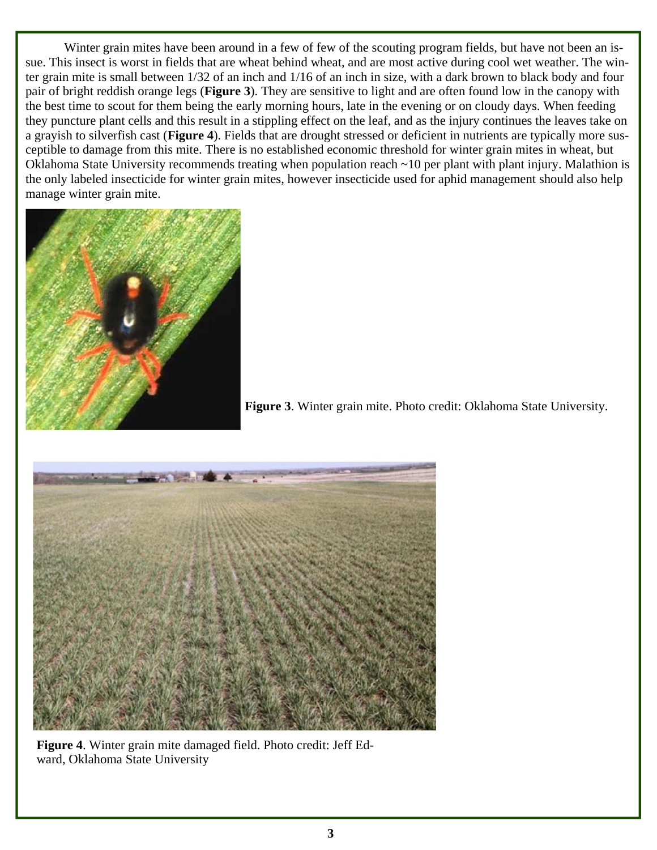Winter grain mites have been around in a few of few of the scouting program fields, but have not been an issue. This insect is worst in fields that are wheat behind wheat, and are most active during cool wet weather. The winter grain mite is small between 1/32 of an inch and 1/16 of an inch in size, with a dark brown to black body and four pair of bright reddish orange legs (**Figure 3**). They are sensitive to light and are often found low in the canopy with the best time to scout for them being the early morning hours, late in the evening or on cloudy days. When feeding they puncture plant cells and this result in a stippling effect on the leaf, and as the injury continues the leaves take on a grayish to silverfish cast (**Figure 4**). Fields that are drought stressed or deficient in nutrients are typically more susceptible to damage from this mite. There is no established economic threshold for winter grain mites in wheat, but Oklahoma State University recommends treating when population reach ~10 per plant with plant injury. Malathion is the only labeled insecticide for winter grain mites, however insecticide used for aphid management should also help manage winter grain mite.



**Figure 3**. Winter grain mite. Photo credit: Oklahoma State University.



**Figure 4**. Winter grain mite damaged field. Photo credit: Jeff Edward, Oklahoma State University